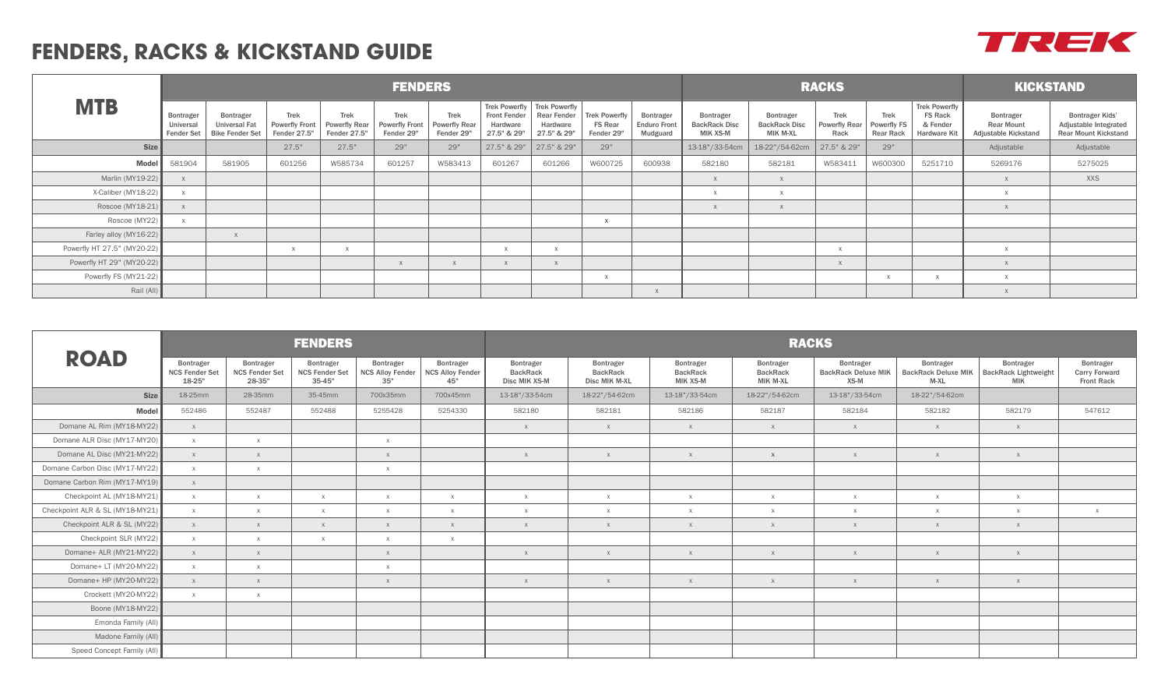## **FENDERS, RACKS & KICKSTAND GUIDE**

|                             |                                             |                                                             |                                                      |                                                     | <b>FENDERS</b>                              |                                                   |                                                |                                                                              | <b>RACKS</b>                                         | <b>KICKSTAND</b>                             |                                               |                                                      |                                      |                                                |                                                                    |                                                        |                                                                                |
|-----------------------------|---------------------------------------------|-------------------------------------------------------------|------------------------------------------------------|-----------------------------------------------------|---------------------------------------------|---------------------------------------------------|------------------------------------------------|------------------------------------------------------------------------------|------------------------------------------------------|----------------------------------------------|-----------------------------------------------|------------------------------------------------------|--------------------------------------|------------------------------------------------|--------------------------------------------------------------------|--------------------------------------------------------|--------------------------------------------------------------------------------|
| <b>MTB</b>                  | Bontrager<br>Universal<br><b>Fender Set</b> | <b>Bontrager</b><br>Universal Fat<br><b>Bike Fender Set</b> | <b>Trek</b><br><b>Powerfly Front</b><br>Fender 27.5" | <b>Trek</b><br><b>Powerfly Rear</b><br>Fender 27.5" | Trek<br><b>Powerfly Front</b><br>Fender 29" | <b>Trek</b><br><b>Powerfly Rear</b><br>Fender 29" | <b>Front Fender</b><br>Hardware<br>27.5" & 29" | Trek Powerfly Trek Powerfly<br><b>Rear Fender</b><br>Hardware<br>27.5" & 29" | <b>Trek Powerfly</b><br><b>FS Rear</b><br>Fender 29" | Bontrager<br><b>Enduro Front</b><br>Mudguard | Bontrager<br><b>BackRack Disc</b><br>MIK XS-M | Bontrager<br><b>BackRack Disc</b><br><b>MIK M-XL</b> | Trek<br><b>Powerfly Rear</b><br>Rack | <b>Trek</b><br>Powerfly FS<br><b>Rear Rack</b> | <b>Trek Powerfly</b><br><b>FS Rack</b><br>& Fender<br>Hardware Kit | Bontrager<br><b>Rear Mount</b><br>Adjustable Kickstand | <b>Bontrager Kids'</b><br>Adjustable Integrated<br><b>Rear Mount Kickstand</b> |
| <b>Size</b>                 |                                             |                                                             | 27.5"                                                | 27.5"                                               | 29"                                         | 29"                                               | 27.5" & 29"                                    | 27.5" & 29"                                                                  | 29"                                                  |                                              | 13-18"/33-54cm                                | 18-22"/54-62cm                                       | 27.5" & 29"                          | 29"                                            |                                                                    | Adjustable                                             | Adjustable                                                                     |
| <b>Model</b>                | 581904                                      | 581905                                                      | 601256                                               | W585734                                             | 601257                                      | W583413                                           | 601267                                         | 601266                                                                       | W600725                                              | 600938                                       | 582180                                        | 582181                                               | W583411                              | W600300                                        | 5251710                                                            | 5269176                                                | 5275025                                                                        |
| Marlin (MY19-22)            |                                             |                                                             |                                                      |                                                     |                                             |                                                   |                                                |                                                                              |                                                      |                                              |                                               |                                                      |                                      |                                                |                                                                    |                                                        | <b>XXS</b>                                                                     |
| X-Caliber (MY18-22)         |                                             |                                                             |                                                      |                                                     |                                             |                                                   |                                                |                                                                              |                                                      |                                              |                                               |                                                      |                                      |                                                |                                                                    |                                                        |                                                                                |
| Roscoe (MY18-21)            |                                             |                                                             |                                                      |                                                     |                                             |                                                   |                                                |                                                                              |                                                      |                                              |                                               |                                                      |                                      |                                                |                                                                    |                                                        |                                                                                |
| Roscoe (MY22)               | $\times$                                    |                                                             |                                                      |                                                     |                                             |                                                   |                                                |                                                                              |                                                      |                                              |                                               |                                                      |                                      |                                                |                                                                    |                                                        |                                                                                |
| Farley alloy (MY16-22)      |                                             |                                                             |                                                      |                                                     |                                             |                                                   |                                                |                                                                              |                                                      |                                              |                                               |                                                      |                                      |                                                |                                                                    |                                                        |                                                                                |
| Powerfly HT 27.5" (MY20-22) |                                             |                                                             |                                                      |                                                     |                                             |                                                   |                                                |                                                                              |                                                      |                                              |                                               |                                                      |                                      |                                                |                                                                    |                                                        |                                                                                |
| Powerfly HT 29" (MY20-22)   |                                             |                                                             |                                                      |                                                     |                                             |                                                   |                                                |                                                                              |                                                      |                                              |                                               |                                                      |                                      |                                                |                                                                    |                                                        |                                                                                |
| Powerfly FS (MY21-22)       |                                             |                                                             |                                                      |                                                     |                                             |                                                   |                                                |                                                                              |                                                      |                                              |                                               |                                                      |                                      |                                                |                                                                    |                                                        |                                                                                |
| Rail (All)                  |                                             |                                                             |                                                      |                                                     |                                             |                                                   |                                                |                                                                              |                                                      |                                              |                                               |                                                      |                                      |                                                |                                                                    |                                                        |                                                                                |

|                                 |                                              |                                              | <b>FENDERS</b>                                   |                                             |                                             | <b>RACKS</b>                                  |                                               |                                          |                                          |                                                 |                                                   |                                                        |                                                        |  |  |  |
|---------------------------------|----------------------------------------------|----------------------------------------------|--------------------------------------------------|---------------------------------------------|---------------------------------------------|-----------------------------------------------|-----------------------------------------------|------------------------------------------|------------------------------------------|-------------------------------------------------|---------------------------------------------------|--------------------------------------------------------|--------------------------------------------------------|--|--|--|
| <b>ROAD</b>                     | Bontrager<br><b>NCS Fender Set</b><br>18-25" | Bontrager<br><b>NCS Fender Set</b><br>28-35" | Bontrager<br><b>NCS Fender Set</b><br>$35 - 45"$ | Bontrager<br><b>NCS Alloy Fender</b><br>35" | Bontrager<br><b>NCS Alloy Fender</b><br>45" | Bontrager<br><b>BackRack</b><br>Disc MIK XS-M | Bontrager<br><b>BackRack</b><br>Disc MIK M-XL | Bontrager<br><b>BackRack</b><br>MIK XS-M | Bontrager<br><b>BackRack</b><br>MIK M-XL | Bontrager<br><b>BackRack Deluxe MIK</b><br>XS-M | Bontrager<br><b>BackRack Deluxe MIK</b><br>$M-XL$ | Bontrager<br><b>BackRack Lightweight</b><br><b>MIK</b> | Bontrager<br><b>Carry Forward</b><br><b>Front Rack</b> |  |  |  |
| <b>Size</b>                     | 18-25mm                                      | 28-35mm                                      | 35-45mm                                          | 700x35mm                                    | 700x45mm                                    | 13-18"/33-54cm                                | 18-22"/54-62cm                                | 13-18"/33-54cm                           | 18-22"/54-62cm                           | 13-18"/33-54cm                                  | 18-22"/54-62cm                                    |                                                        |                                                        |  |  |  |
| <b>Model</b>                    | 552486                                       | 552487                                       | 552488                                           | 5255428                                     | 5254330                                     | 582180                                        | 582181                                        | 582186                                   | 582187                                   | 582184                                          | 582182                                            | 582179                                                 | 547612                                                 |  |  |  |
| Domane AL Rim (MY18-MY22)       | X                                            |                                              |                                                  |                                             |                                             | $\mathsf{X}$                                  | X                                             | X                                        | X                                        | X                                               | X                                                 | X                                                      |                                                        |  |  |  |
| Domane ALR Disc (MY17-MY20)     | $\times$                                     | $\mathsf{X}$                                 |                                                  | $\times$                                    |                                             |                                               |                                               |                                          |                                          |                                                 |                                                   |                                                        |                                                        |  |  |  |
| Domane AL Disc (MY21-MY22)      | X                                            | X                                            |                                                  | X                                           |                                             | $\chi$                                        | X                                             | X                                        | $\mathsf{X}$                             | $\times$                                        | X                                                 | $\mathsf{X}$                                           |                                                        |  |  |  |
| Domane Carbon Disc (MY17-MY22)  | X                                            | $\times$                                     |                                                  | $\times$                                    |                                             |                                               |                                               |                                          |                                          |                                                 |                                                   |                                                        |                                                        |  |  |  |
| Domane Carbon Rim (MY17-MY19)   | X                                            |                                              |                                                  |                                             |                                             |                                               |                                               |                                          |                                          |                                                 |                                                   |                                                        |                                                        |  |  |  |
| Checkpoint AL (MY18-MY21)       | X                                            | $\chi$                                       | $\mathsf{X}$                                     | $\times$                                    | $\mathsf{X}$                                | $\chi$                                        | $\times$                                      | $\times$                                 | $\times$                                 | $\mathsf{X}$                                    | X                                                 | $\mathsf{X}$                                           |                                                        |  |  |  |
| Checkpoint ALR & SL (MY18-MY21) | $\times$                                     | $\mathsf{X}$                                 | $\mathbf{x}$                                     | $\times$                                    | $\mathsf{X}$                                | $\chi$                                        | $\times$                                      | $_{\rm X}$                               | $\times$                                 | $_{\rm X}$                                      | $\times$                                          | $\mathsf{X}$                                           | $\times$                                               |  |  |  |
| Checkpoint ALR & SL (MY22)      | $\mathsf{X}$                                 | X                                            | $\times$                                         | X                                           | X                                           | $\chi$                                        | X                                             | X                                        | X                                        | $\mathsf{X}$                                    | X                                                 | $\mathsf{X}$                                           |                                                        |  |  |  |
| Checkpoint SLR (MY22)           | X                                            | $\mathsf{X}$                                 | $\mathsf{X}$                                     | $\times$                                    | $\mathsf{X}$                                |                                               |                                               |                                          |                                          |                                                 |                                                   |                                                        |                                                        |  |  |  |
| Domane+ ALR (MY21-MY22)         | X                                            | X                                            |                                                  | X                                           |                                             | $\times$                                      | X                                             | X                                        | $\mathsf{X}$                             | $\times$                                        | X                                                 | $\times$                                               |                                                        |  |  |  |
| Domane+ LT (MY20-MY22)          | $\times$                                     | $\times$                                     |                                                  | $\times$                                    |                                             |                                               |                                               |                                          |                                          |                                                 |                                                   |                                                        |                                                        |  |  |  |
| Domane+ HP (MY20-MY22)          | X                                            | X                                            |                                                  | X                                           |                                             | $\chi$                                        | X                                             | X                                        | X                                        | $\times$                                        | X                                                 | X                                                      |                                                        |  |  |  |
| Crockett (MY20-MY22)            | X                                            | $\times$                                     |                                                  |                                             |                                             |                                               |                                               |                                          |                                          |                                                 |                                                   |                                                        |                                                        |  |  |  |
| Boone (MY18-MY22)               |                                              |                                              |                                                  |                                             |                                             |                                               |                                               |                                          |                                          |                                                 |                                                   |                                                        |                                                        |  |  |  |
| Emonda Family (All)             |                                              |                                              |                                                  |                                             |                                             |                                               |                                               |                                          |                                          |                                                 |                                                   |                                                        |                                                        |  |  |  |
| Madone Family (All)             |                                              |                                              |                                                  |                                             |                                             |                                               |                                               |                                          |                                          |                                                 |                                                   |                                                        |                                                        |  |  |  |
| Speed Concept Family (All)      |                                              |                                              |                                                  |                                             |                                             |                                               |                                               |                                          |                                          |                                                 |                                                   |                                                        |                                                        |  |  |  |